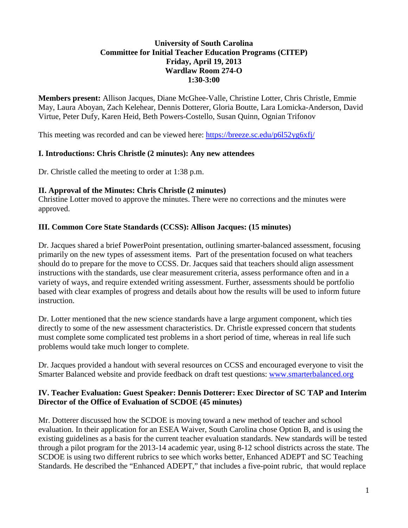#### **University of South Carolina Committee for Initial Teacher Education Programs (CITEP) Friday, April 19, 2013 Wardlaw Room 274-O 1:30-3:00**

**Members present:** Allison Jacques, Diane McGhee-Valle, Christine Lotter, Chris Christle, Emmie May, Laura Aboyan, Zach Kelehear, Dennis Dotterer, Gloria Boutte, Lara Lomicka-Anderson, David Virtue, Peter Dufy, Karen Heid, Beth Powers-Costello, Susan Quinn, Ognian Trifonov

This meeting was recorded and can be viewed here:<https://breeze.sc.edu/p6l52yg6xfj/>

## **I. Introductions: Chris Christle (2 minutes): Any new attendees**

Dr. Christle called the meeting to order at 1:38 p.m.

## **II. Approval of the Minutes: Chris Christle (2 minutes)**

Christine Lotter moved to approve the minutes. There were no corrections and the minutes were approved.

## **III. Common Core State Standards (CCSS): Allison Jacques: (15 minutes)**

Dr. Jacques shared a brief PowerPoint presentation, outlining smarter-balanced assessment, focusing primarily on the new types of assessment items. Part of the presentation focused on what teachers should do to prepare for the move to CCSS. Dr. Jacques said that teachers should align assessment instructions with the standards, use clear measurement criteria, assess performance often and in a variety of ways, and require extended writing assessment. Further, assessments should be portfolio based with clear examples of progress and details about how the results will be used to inform future instruction.

Dr. Lotter mentioned that the new science standards have a large argument component, which ties directly to some of the new assessment characteristics. Dr. Christle expressed concern that students must complete some complicated test problems in a short period of time, whereas in real life such problems would take much longer to complete.

Dr. Jacques provided a handout with several resources on CCSS and encouraged everyone to visit the Smarter Balanced website and provide feedback on draft test questions: [www.smarterbalanced.org](http://www.smarterbalanced.org/)

#### **IV. Teacher Evaluation: Guest Speaker: Dennis Dotterer: Exec Director of SC TAP and Interim Director of the Office of Evaluation of SCDOE (45 minutes)**

Mr. Dotterer discussed how the SCDOE is moving toward a new method of teacher and school evaluation. In their application for an ESEA Waiver, South Carolina chose Option B, and is using the existing guidelines as a basis for the current teacher evaluation standards. New standards will be tested through a pilot program for the 2013-14 academic year, using 8-12 school districts across the state. The SCDOE is using two different rubrics to see which works better, Enhanced ADEPT and SC Teaching Standards. He described the "Enhanced ADEPT," that includes a five-point rubric, that would replace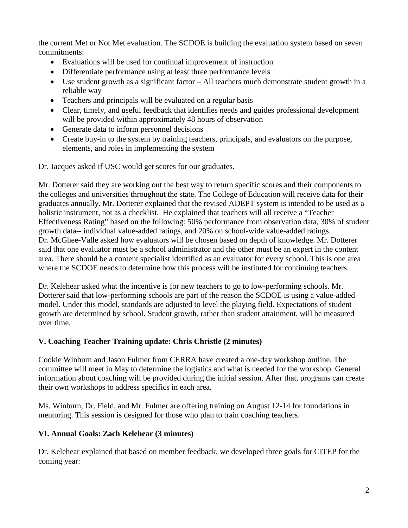the current Met or Not Met evaluation. The SCDOE is building the evaluation system based on seven commitments:

- Evaluations will be used for continual improvement of instruction
- Differentiate performance using at least three performance levels
- Use student growth as a significant factor All teachers much demonstrate student growth in a reliable way
- Teachers and principals will be evaluated on a regular basis
- Clear, timely, and useful feedback that identifies needs and guides professional development will be provided within approximately 48 hours of observation
- Generate data to inform personnel decisions
- Create buy-in to the system by training teachers, principals, and evaluators on the purpose, elements, and roles in implementing the system

Dr. Jacques asked if USC would get scores for our graduates.

Mr. Dotterer said they are working out the best way to return specific scores and their components to the colleges and universities throughout the state. The College of Education will receive data for their graduates annually. Mr. Dotterer explained that the revised ADEPT system is intended to be used as a holistic instrument, not as a checklist. He explained that teachers will all receive a "Teacher Effectiveness Rating" based on the following: 50% performance from observation data, 30% of student growth data-- individual value-added ratings, and 20% on school-wide value-added ratings. Dr. McGhee-Valle asked how evaluators will be chosen based on depth of knowledge. Mr. Dotterer said that one evaluator must be a school administrator and the other must be an expert in the content area. There should be a content specialist identified as an evaluator for every school. This is one area where the SCDOE needs to determine how this process will be instituted for continuing teachers.

Dr. Kelehear asked what the incentive is for new teachers to go to low-performing schools. Mr. Dotterer said that low-performing schools are part of the reason the SCDOE is using a value-added model. Under this model, standards are adjusted to level the playing field. Expectations of student growth are determined by school. Student growth, rather than student attainment, will be measured over time.

# **V. Coaching Teacher Training update: Chris Christle (2 minutes)**

Cookie Winburn and Jason Fulmer from CERRA have created a one-day workshop outline. The committee will meet in May to determine the logistics and what is needed for the workshop. General information about coaching will be provided during the initial session. After that, programs can create their own workshops to address specifics in each area.

Ms. Winburn, Dr. Field, and Mr. Fulmer are offering training on August 12-14 for foundations in mentoring. This session is designed for those who plan to train coaching teachers.

### **VI. Annual Goals: Zach Kelehear (3 minutes)**

Dr. Kelehear explained that based on member feedback, we developed three goals for CITEP for the coming year: